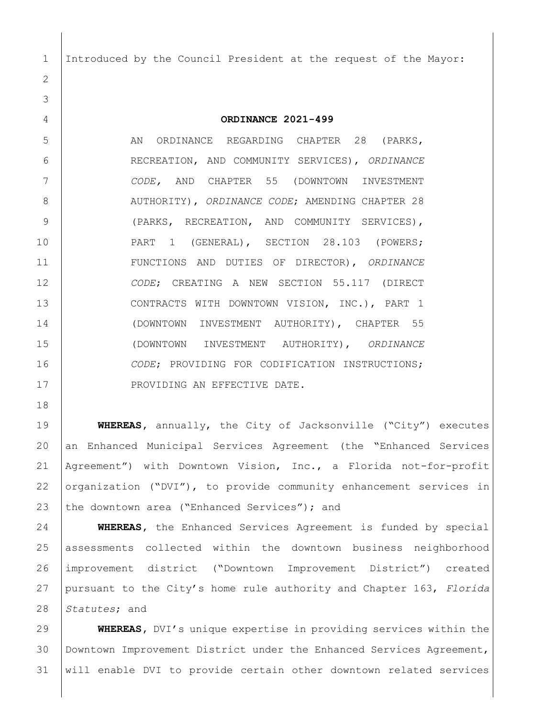Introduced by the Council President at the request of the Mayor:

**ORDINANCE 2021-499**

5 AN ORDINANCE REGARDING CHAPTER 28 (PARKS, RECREATION, AND COMMUNITY SERVICES), *ORDINANCE CODE,* AND CHAPTER 55 (DOWNTOWN INVESTMENT 8 | AUTHORITY), *ORDINANCE CODE*; AMENDING CHAPTER 28 (PARKS, RECREATION, AND COMMUNITY SERVICES), 10 | PART 1 (GENERAL), SECTION 28.103 (POWERS; FUNCTIONS AND DUTIES OF DIRECTOR), *ORDINANCE CODE*; CREATING A NEW SECTION 55.117 (DIRECT CONTRACTS WITH DOWNTOWN VISION, INC.), PART 1 (DOWNTOWN INVESTMENT AUTHORITY), CHAPTER 55 (DOWNTOWN INVESTMENT AUTHORITY), *ORDINANCE CODE*; PROVIDING FOR CODIFICATION INSTRUCTIONS; 17 | PROVIDING AN EFFECTIVE DATE.

 **WHEREAS,** annually, the City of Jacksonville ("City") executes an Enhanced Municipal Services Agreement (the "Enhanced Services Agreement") with Downtown Vision, Inc., a Florida not-for-profit organization ("DVI"), to provide community enhancement services in 23 the downtown area ("Enhanced Services"); and

 **WHEREAS,** the Enhanced Services Agreement is funded by special assessments collected within the downtown business neighborhood improvement district ("Downtown Improvement District") created pursuant to the City's home rule authority and Chapter 163, *Florida Statutes*; and

 **WHEREAS,** DVI's unique expertise in providing services within the Downtown Improvement District under the Enhanced Services Agreement, will enable DVI to provide certain other downtown related services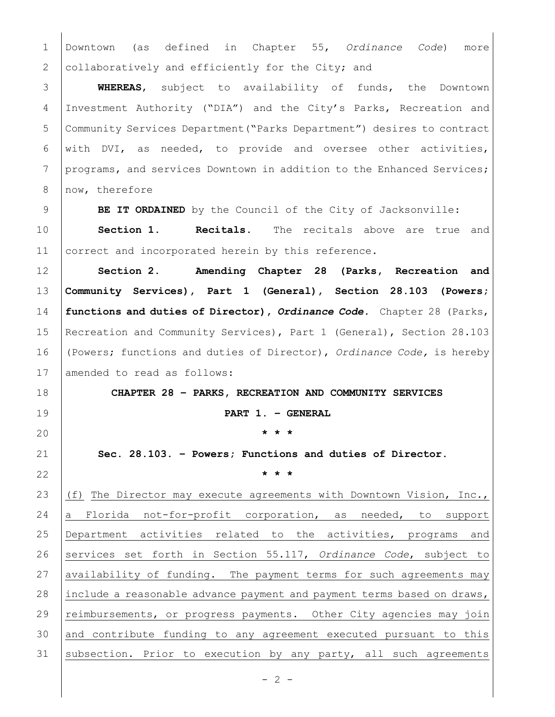Downtown (as defined in Chapter 55, *Ordinance Code*) more 2 collaboratively and efficiently for the City; and

 **WHEREAS**, subject to availability of funds, the Downtown Investment Authority ("DIA") and the City's Parks, Recreation and Community Services Department("Parks Department") desires to contract 6 with DVI, as needed, to provide and oversee other activities, 7 programs, and services Downtown in addition to the Enhanced Services; 8 now, therefore

**BE IT ORDAINED** by the Council of the City of Jacksonville:

 **Section 1. Recitals.** The recitals above are true and 11 correct and incorporated herein by this reference.

 **Section 2. Amending Chapter 28 (Parks, Recreation and Community Services), Part 1 (General), Section 28.103 (Powers; functions and duties of Director),** *Ordinance Code.* Chapter 28 (Parks, Recreation and Community Services), Part 1 (General), Section 28.103 (Powers; functions and duties of Director), *Ordinance Code,* is hereby 17 amended to read as follows:

 **CHAPTER 28 – PARKS, RECREATION AND COMMUNITY SERVICES PART 1. – GENERAL \* \* \***

 **Sec. 28.103. – Powers; Functions and duties of Director. \* \* \***

 (f) The Director may execute agreements with Downtown Vision, Inc., 24 a Florida not-for-profit corporation, as needed, to support Department activities related to the activities, programs and 26 services set forth in Section 55.117, Ordinance Code, subject to 27 availability of funding. The payment terms for such agreements may include a reasonable advance payment and payment terms based on draws, 29 | reimbursements, or progress payments. Other City agencies may join and contribute funding to any agreement executed pursuant to this 31 subsection. Prior to execution by any party, all such agreements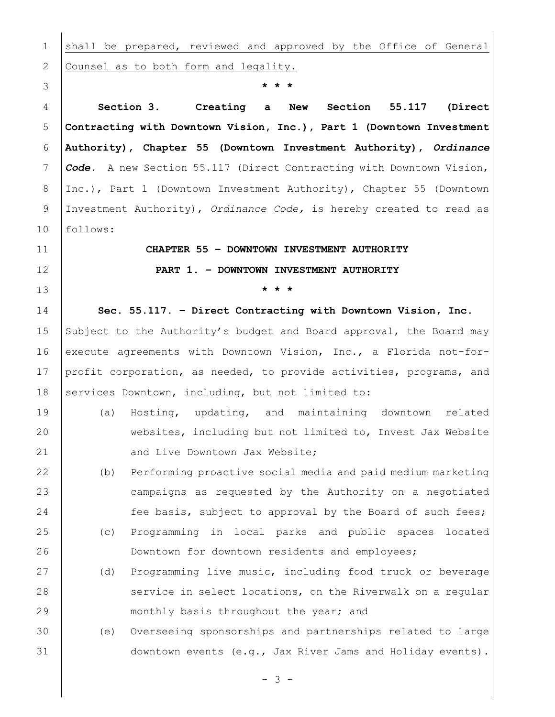1 shall be prepared, reviewed and approved by the Office of General 2 Counsel as to both form and legality. **\* \* \* Section 3. Creating a New Section 55.117 (Direct Contracting with Downtown Vision, Inc.), Part 1 (Downtown Investment Authority), Chapter 55 (Downtown Investment Authority),** *Ordinance Code.* A new Section 55.117 (Direct Contracting with Downtown Vision, Inc.), Part 1 (Downtown Investment Authority), Chapter 55 (Downtown Investment Authority), *Ordinance Code,* is hereby created to read as follows: **CHAPTER 55 – DOWNTOWN INVESTMENT AUTHORITY PART 1. – DOWNTOWN INVESTMENT AUTHORITY \* \* \* Sec. 55.117. – Direct Contracting with Downtown Vision, Inc.** 15 Subject to the Authority's budget and Board approval, the Board may 16 execute agreements with Downtown Vision, Inc., a Florida not-for- profit corporation, as needed, to provide activities, programs, and 18 Services Downtown, including, but not limited to: (a) Hosting, updating, and maintaining downtown related websites, including but not limited to, Invest Jax Website 21 | and Live Downtown Jax Website; (b) Performing proactive social media and paid medium marketing campaigns as requested by the Authority on a negotiated 24 Fee basis, subject to approval by the Board of such fees; (c) Programming in local parks and public spaces located Downtown for downtown residents and employees; (d) Programming live music, including food truck or beverage 28 service in select locations, on the Riverwalk on a regular **Monthly basis throughout the year; and**  (e) Overseeing sponsorships and partnerships related to large downtown events (e.g., Jax River Jams and Holiday events).

 $- 3 -$